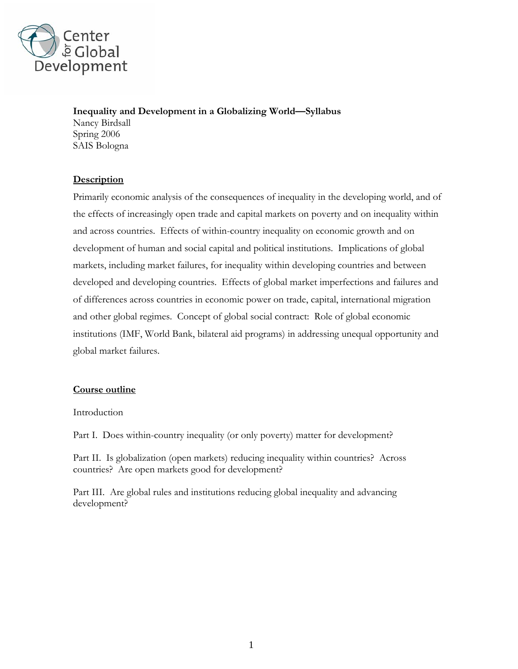

**Inequality and Development in a Globalizing World—Syllabus** 

Nancy Birdsall Spring 2006 SAIS Bologna

# **Description**

Primarily economic analysis of the consequences of inequality in the developing world, and of the effects of increasingly open trade and capital markets on poverty and on inequality within and across countries. Effects of within-country inequality on economic growth and on development of human and social capital and political institutions. Implications of global markets, including market failures, for inequality within developing countries and between developed and developing countries. Effects of global market imperfections and failures and of differences across countries in economic power on trade, capital, international migration and other global regimes. Concept of global social contract: Role of global economic institutions (IMF, World Bank, bilateral aid programs) in addressing unequal opportunity and global market failures.

# **Course outline**

Introduction

Part I. Does within-country inequality (or only poverty) matter for development?

Part II. Is globalization (open markets) reducing inequality within countries? Across countries? Are open markets good for development?

Part III. Are global rules and institutions reducing global inequality and advancing development?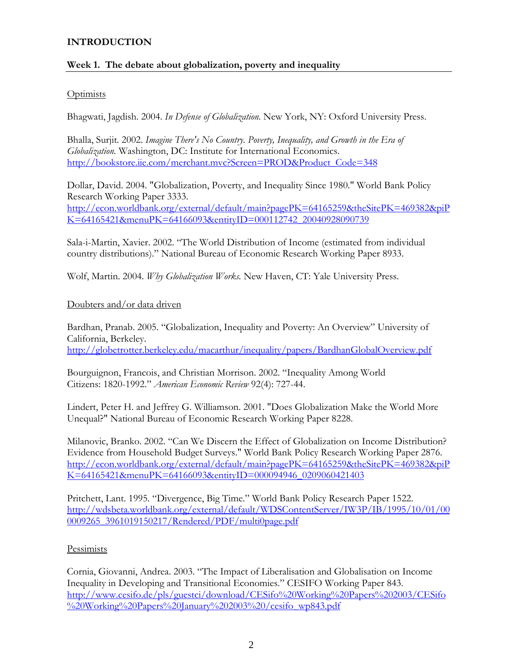## **INTRODUCTION**

# **Week 1. The debate about globalization, poverty and inequality**

### **Optimists**

Bhagwati, Jagdish. 2004. *In Defense of Globalization.* New York, NY: Oxford University Press.

Bhalla, Surjit. 2002. *Imagine There's No Country. Poverty, Inequality, and Growth in the Era of Globalization.* Washington, DC: Institute for International Economics. [http://bookstore.iie.com/merchant.mvc?Screen=PROD&Product\\_Code=348](http://bookstore.iie.com/merchant.mvc?Screen=PROD&Product_Code=348)

Dollar, David. 2004. "Globalization, Poverty, and Inequality Since 1980." World Bank Policy Research Working Paper 3333. [http://econ.worldbank.org/external/default/main?pagePK=64165259&theSitePK=469382&piP](http://econ.worldbank.org/external/default/main?pagePK=64165259&theSitePK=469382&piPK=64165421&menuPK=64166093&entityID=000112742_20040928090739) [K=64165421&menuPK=64166093&entityID=000112742\\_20040928090739](http://econ.worldbank.org/external/default/main?pagePK=64165259&theSitePK=469382&piPK=64165421&menuPK=64166093&entityID=000112742_20040928090739)

Sala-i-Martin, Xavier. 2002. "The World Distribution of Income (estimated from individual country distributions)." National Bureau of Economic Research Working Paper 8933.

Wolf, Martin. 2004. *Why Globalization Works.* New Haven, CT: Yale University Press.

### Doubters and/or data driven

Bardhan, Pranab. 2005. "Globalization, Inequality and Poverty: An Overview" University of California, Berkeley. <http://globetrotter.berkeley.edu/macarthur/inequality/papers/BardhanGlobalOverview.pdf>

Bourguignon, Francois, and Christian Morrison. 2002. "Inequality Among World Citizens: 1820-1992." *American Economic Review* 92(4): 727-44.

Lindert, Peter H. and Jeffrey G. Williamson. 2001. "Does Globalization Make the World More Unequal?" National Bureau of Economic Research Working Paper 8228.

Milanovic, Branko. 2002. "Can We Discern the Effect of Globalization on Income Distribution? Evidence from Household Budget Surveys." World Bank Policy Research Working Paper 2876. [http://econ.worldbank.org/external/default/main?pagePK=64165259&theSitePK=469382&piP](http://econ.worldbank.org/external/default/main?pagePK=64165259&theSitePK=469382&piPK=64165421&menuPK=64166093&entityID=000094946_0209060421403) [K=64165421&menuPK=64166093&entityID=000094946\\_0209060421403](http://econ.worldbank.org/external/default/main?pagePK=64165259&theSitePK=469382&piPK=64165421&menuPK=64166093&entityID=000094946_0209060421403)

Pritchett, Lant. 1995. "Divergence, Big Time." World Bank Policy Research Paper 1522. [http://wdsbeta.worldbank.org/external/default/WDSContentServer/IW3P/IB/1995/10/01/00](http://wdsbeta.worldbank.org/external/default/WDSContentServer/IW3P/IB/1995/10/01/000009265_3961019150217/Rendered/PDF/multi0page.pdf) [0009265\\_3961019150217/Rendered/PDF/multi0page.pdf](http://wdsbeta.worldbank.org/external/default/WDSContentServer/IW3P/IB/1995/10/01/000009265_3961019150217/Rendered/PDF/multi0page.pdf)

### **Pessimists**

Cornia, Giovanni, Andrea. 2003. "The Impact of Liberalisation and Globalisation on Income Inequality in Developing and Transitional Economies." CESIFO Working Paper 843. [http://www.cesifo.de/pls/guestci/download/CESifo%20Working%20Papers%202003/CESifo](http://www.cesifo.de/pls/guestci/download/CESifo Working Papers 2003/CESifo Working Papers January 2003 /cesifo_wp843.pdf) [%20Working%20Papers%20January%202003%20/cesifo\\_wp843.pdf](http://www.cesifo.de/pls/guestci/download/CESifo Working Papers 2003/CESifo Working Papers January 2003 /cesifo_wp843.pdf)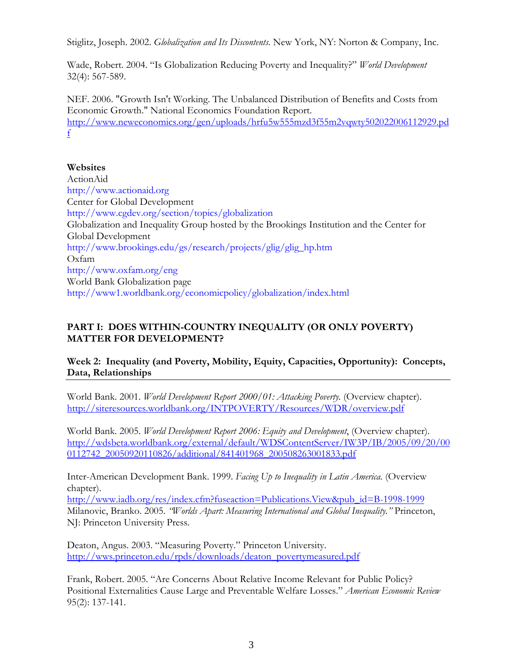Stiglitz, Joseph. 2002. *Globalization and Its Discontents.* New York, NY: Norton & Company, Inc.

Wade, Robert. 2004. "Is Globalization Reducing Poverty and Inequality?" *World Development* 32(4): 567-589.

NEF. 2006. "Growth Isn't Working. The Unbalanced Distribution of Benefits and Costs from Economic Growth." National Economics Foundation Report. [http://www.neweconomics.org/gen/uploads/hrfu5w555mzd3f55m2vqwty502022006112929.pd](http://www.neweconomics.org/gen/uploads/hrfu5w555mzd3f55m2vqwty502022006112929.pdf) [f](http://www.neweconomics.org/gen/uploads/hrfu5w555mzd3f55m2vqwty502022006112929.pdf)

## **Websites**

ActionAid [http://www.actionaid.org](http://www.actionaid.org/) Center for Global Development <http://www.cgdev.org/section/topics/globalization> Globalization and Inequality Group hosted by the Brookings Institution and the Center for Global Development [http://www.brookings.edu/gs/research/projects/glig/glig\\_hp.htm](http://www.brookings.edu/gs/research/projects/glig/glig_hp.htm) Oxfam <http://www.oxfam.org/eng> World Bank Globalization page <http://www1.worldbank.org/economicpolicy/globalization/index.html>

# **PART I: DOES WITHIN-COUNTRY INEQUALITY (OR ONLY POVERTY) MATTER FOR DEVELOPMENT?**

**Week 2: Inequality (and Poverty, Mobility, Equity, Capacities, Opportunity): Concepts, Data, Relationships** 

World Bank. 2001. *World Development Report 2000/01: Attacking Poverty.* (Overview chapter). <http://siteresources.worldbank.org/INTPOVERTY/Resources/WDR/overview.pdf>

World Bank. 2005. *World Development Report 2006: Equity and Development*, (Overview chapter). http://wdsbeta.worldbank.org/external/default/WDSContentServer/IW3P/IB/2005/09/20/00 0112742\_20050920110826/additional/841401968\_200508263001833.pdf

Inter-American Development Bank. 1999. *Facing Up to Inequality in Latin America.* (Overview chapter).

[http://www.iadb.org/res/index.cfm?fuseaction=Publications.View&pub\\_id=B-1998-1999](http://www.iadb.org/res/index.cfm?fuseaction=Publications.View&pub_id=B-1998-1999) Milanovic, Branko. 2005. *"Worlds Apart: Measuring International and Global Inequality."* Princeton, NJ: Princeton University Press.

Deaton, Angus. 2003. "Measuring Poverty." Princeton University. [http://wws.princeton.edu/rpds/downloads/deaton\\_povertymeasured.pdf](http://wws.princeton.edu/rpds/downloads/deaton_povertymeasured.pdf)

Frank, Robert. 2005. "Are Concerns About Relative Income Relevant for Public Policy? Positional Externalities Cause Large and Preventable Welfare Losses." *American Economic Review* 95(2): 137-141.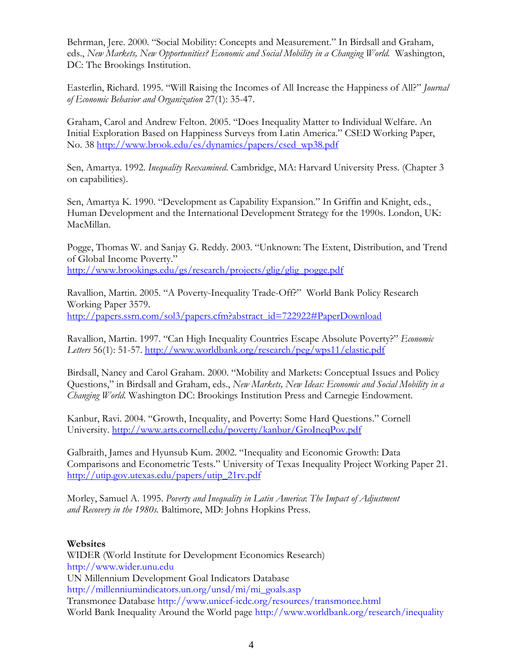Behrman, Jere. 2000. "Social Mobility: Concepts and Measurement." In Birdsall and Graham, eds., *New Markets, New Opportunities? Economic and Social Mobility in a Changing World.* Washington, DC: The Brookings Institution.

Easterlin, Richard. 1995. "Will Raising the Incomes of All Increase the Happiness of All?" *Journal of Economic Behavior and Organization* 27(1): 35-47.

Graham, Carol and Andrew Felton. 2005. "Does Inequality Matter to Individual Welfare. An Initial Exploration Based on Happiness Surveys from Latin America." CSED Working Paper, No. 38 [http://www.brook.edu/es/dynamics/papers/csed\\_wp38.pdf](http://www.brook.edu/es/dynamics/papers/csed_wp38.pdf)

Sen, Amartya. 1992. *Inequality Reexamined*. Cambridge, MA: Harvard University Press. (Chapter 3 on capabilities).

Sen, Amartya K. 1990. "Development as Capability Expansion." In Griffin and Knight, eds., Human Development and the International Development Strategy for the 1990s. London, UK: MacMillan.

Pogge, Thomas W. and Sanjay G. Reddy. 2003. "Unknown: The Extent, Distribution, and Trend of Global Income Poverty." [http://www.brookings.edu/gs/research/projects/glig/glig\\_pogge.pdf](http://www.brookings.edu/gs/research/projects/glig/glig_pogge.pdf)

Ravallion, Martin. 2005. "A Poverty-Inequality Trade-Off?" World Bank Policy Research Working Paper 3579. http://papers.ssrn.com/sol3/papers.cfm?abstract\_id=722922#PaperDownload

Ravallion, Martin. 1997. "Can High Inequality Countries Escape Absolute Poverty?" *Economic Letters* 56(1): 51-57.<http://www.worldbank.org/research/peg/wps11/elastic.pdf>

Birdsall, Nancy and Carol Graham. 2000. "Mobility and Markets: Conceptual Issues and Policy Questions," in Birdsall and Graham, eds., *New Markets, New Ideas: Economic and Social Mobility in a Changing World.* Washington DC: Brookings Institution Press and Carnegie Endowment.

Kanbur, Ravi. 2004. "Growth, Inequality, and Poverty: Some Hard Questions." Cornell University.<http://www.arts.cornell.edu/poverty/kanbur/GroIneqPov.pdf>

Galbraith, James and Hyunsub Kum. 2002. "Inequality and Economic Growth: Data Comparisons and Econometric Tests." University of Texas Inequality Project Working Paper 21. [http://utip.gov.utexas.edu/papers/utip\\_21rv.pdf](http://utip.gov.utexas.edu/papers/utip_21rv.pdf)

Morley, Samuel A. 1995. *Poverty and Inequality in Latin America*: *The Impact of Adjustment and Recovery in the 1980s.* Baltimore, MD: Johns Hopkins Press.

#### **Websites**

WIDER (World Institute for Development Economics Research) [http://www.wider.unu.edu](http://www.wider.unu.edu/) UN Millennium Development Goal Indicators Database [http://millenniumindicators.un.org/unsd/mi/mi\\_goals.asp](http://millenniumindicators.un.org/unsd/mi/mi_goals.asp) Transmonee Database <http://www.unicef-icdc.org/resources/transmonee.html> World Bank Inequality Around the World page <http://www.worldbank.org/research/inequality>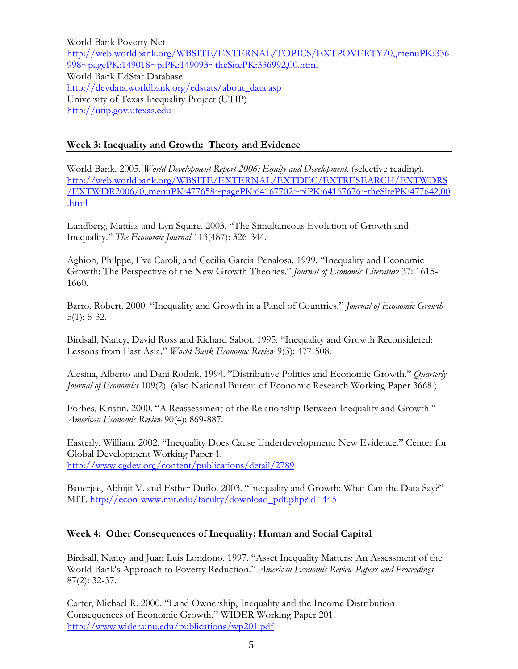World Bank Poverty Net [http://web.worldbank.org/WBSITE/EXTERNAL/TOPICS/EXTPOVERTY/0,,menuPK:336](http://web.worldbank.org/WBSITE/EXTERNAL/TOPICS/EXTPOVERTY/0,,menuPK:336998~pagePK:149018~piPK:149093~theSitePK:336992,00.html) [998~pagePK:149018~piPK:149093~theSitePK:336992,00.html](http://web.worldbank.org/WBSITE/EXTERNAL/TOPICS/EXTPOVERTY/0,,menuPK:336998~pagePK:149018~piPK:149093~theSitePK:336992,00.html) World Bank EdStat Database http://devdata.worldbank.org/edstats/about\_data.asp University of Texas Inequality Project (UTIP) [http://utip.gov.utexas.edu](http://utip.gov.utexas.edu/)

## **Week 3: Inequality and Growth: Theory and Evidence**

World Bank. 2005. *World Development Report 2006: Equity and Development*, (selective reading). [http://web.worldbank.org/WBSITE/EXTERNAL/EXTDEC/EXTRESEARCH/EXTWDRS](http://web.worldbank.org/WBSITE/EXTERNAL/EXTDEC/EXTRESEARCH/EXTWDRS/EXTWDR2006/0,,menuPK:477658~pagePK:64167702~piPK:64167676~theSitePK:477642,00.html) [/EXTWDR2006/0,,menuPK:477658~pagePK:64167702~piPK:64167676~theSitePK:477642,00](http://web.worldbank.org/WBSITE/EXTERNAL/EXTDEC/EXTRESEARCH/EXTWDRS/EXTWDR2006/0,,menuPK:477658~pagePK:64167702~piPK:64167676~theSitePK:477642,00.html) [.html](http://web.worldbank.org/WBSITE/EXTERNAL/EXTDEC/EXTRESEARCH/EXTWDRS/EXTWDR2006/0,,menuPK:477658~pagePK:64167702~piPK:64167676~theSitePK:477642,00.html)

Lundberg, Mattias and Lyn Squire. 2003. "The Simultaneous Evolution of Growth and Inequality." *The Economic Journal* 113(487): 326-344.

Aghion, Philppe, Eve Caroli, and Cecilia Garcia-Penalosa. 1999. "Inequality and Economic Growth: The Perspective of the New Growth Theories." *Journal of Economic Literature* 37: 1615- 1660.

Barro, Robert. 2000. "Inequality and Growth in a Panel of Countries." *Journal of Economic Growth* 5(1): 5-32.

Birdsall, Nancy, David Ross and Richard Sabot. 1995. "Inequality and Growth Reconsidered: Lessons from East Asia." *World Bank Economic Review* 9(3): 477-508.

Alesina, Alberto and Dani Rodrik. 1994. "Distributive Politics and Economic Growth." *Quarterly Journal of Economics* 109(2). (also National Bureau of Economic Research Working Paper 3668.)

Forbes, Kristin. 2000. "A Reassessment of the Relationship Between Inequality and Growth." *American Economic Review* 90(4): 869-887.

Easterly, William. 2002. "Inequality Does Cause Underdevelopment: New Evidence." Center for Global Development Working Paper 1. <http://www.cgdev.org/content/publications/detail/2789>

Banerjee, Abhijit V. and Esther Duflo. 2003. "Inequality and Growth: What Can the Data Say?" MIT. [http://econ-www.mit.edu/faculty/download\\_pdf.php?id=445](http://econ-www.mit.edu/faculty/download_pdf.php?id=445)

### **Week 4: Other Consequences of Inequality: Human and Social Capital**

Birdsall, Nancy and Juan Luis Londono. 1997. "Asset Inequality Matters: An Assessment of the World Bank's Approach to Poverty Reduction." *American Economic Review Papers and Proceedings* 87(2): 32-37.

Carter, Michael R. 2000. "Land Ownership, Inequality and the Income Distribution Consequences of Economic Growth." WIDER Working Paper 201. <http://www.wider.unu.edu/publications/wp201.pdf>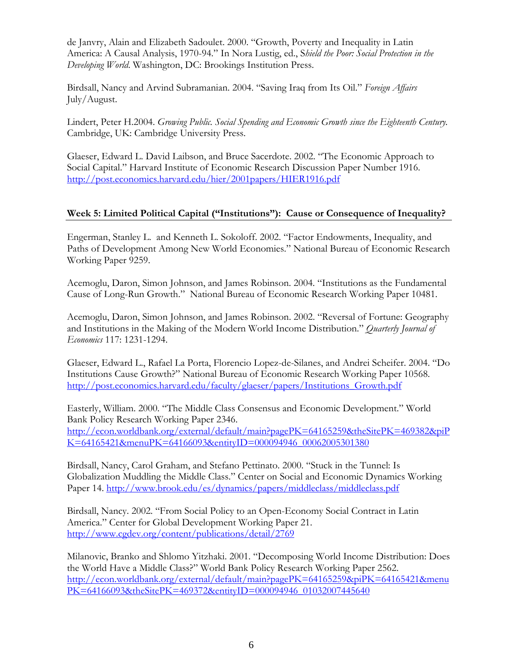de Janvry, Alain and Elizabeth Sadoulet. 2000. "Growth, Poverty and Inequality in Latin America: A Causal Analysis, 1970-94." In Nora Lustig, ed., S*hield the Poor: Social Protection in the Developing World*. Washington, DC: Brookings Institution Press.

Birdsall, Nancy and Arvind Subramanian. 2004. "Saving Iraq from Its Oil." *Foreign Affairs*  July/August.

Lindert, Peter H.2004. *Growing Public. Social Spending and Economic Growth since the Eighteenth Century.*  Cambridge, UK: Cambridge University Press.

Glaeser, Edward L. David Laibson, and Bruce Sacerdote. 2002. "The Economic Approach to Social Capital." Harvard Institute of Economic Research Discussion Paper Number 1916. <http://post.economics.harvard.edu/hier/2001papers/HIER1916.pdf>

## **Week 5: Limited Political Capital ("Institutions"): Cause or Consequence of Inequality?**

Engerman, Stanley L. and Kenneth L. Sokoloff. 2002. "Factor Endowments, Inequality, and Paths of Development Among New World Economies." National Bureau of Economic Research Working Paper 9259.

Acemoglu, Daron, Simon Johnson, and James Robinson. 2004. "Institutions as the Fundamental Cause of Long-Run Growth." National Bureau of Economic Research Working Paper 10481.

Acemoglu, Daron, Simon Johnson, and James Robinson. 2002. "Reversal of Fortune: Geography and Institutions in the Making of the Modern World Income Distribution." *Quarterly Journal of Economics* 117: 1231-1294.

Glaeser, Edward L., Rafael La Porta, Florencio Lopez-de-Silanes, and Andrei Scheifer. 2004. "Do Institutions Cause Growth?" National Bureau of Economic Research Working Paper 10568. [http://post.economics.harvard.edu/faculty/glaeser/papers/Institutions\\_Growth.pdf](http://post.economics.harvard.edu/faculty/glaeser/papers/Institutions_Growth.pdf)

Easterly, William. 2000. "The Middle Class Consensus and Economic Development." World Bank Policy Research Working Paper 2346. [http://econ.worldbank.org/external/default/main?pagePK=64165259&theSitePK=469382&piP](http://econ.worldbank.org/external/default/main?pagePK=64165259&theSitePK=469382&piPK=64165421&menuPK=64166093&entityID=000094946_00062005301380) [K=64165421&menuPK=64166093&entityID=000094946\\_00062005301380](http://econ.worldbank.org/external/default/main?pagePK=64165259&theSitePK=469382&piPK=64165421&menuPK=64166093&entityID=000094946_00062005301380)

Birdsall, Nancy, Carol Graham, and Stefano Pettinato. 2000. "Stuck in the Tunnel: Is Globalization Muddling the Middle Class." Center on Social and Economic Dynamics Working Paper 14. <http://www.brook.edu/es/dynamics/papers/middleclass/middleclass.pdf>

Birdsall, Nancy. 2002. "From Social Policy to an Open-Economy Social Contract in Latin America." Center for Global Development Working Paper 21. <http://www.cgdev.org/content/publications/detail/2769>

Milanovic, Branko and Shlomo Yitzhaki. 2001. "Decomposing World Income Distribution: Does the World Have a Middle Class?" World Bank Policy Research Working Paper 2562. http://econ.worldbank.org/external/default/main?pagePK=64165259&piPK=64165421&menu PK=64166093&theSitePK=469372&entityID=000094946\_01032007445640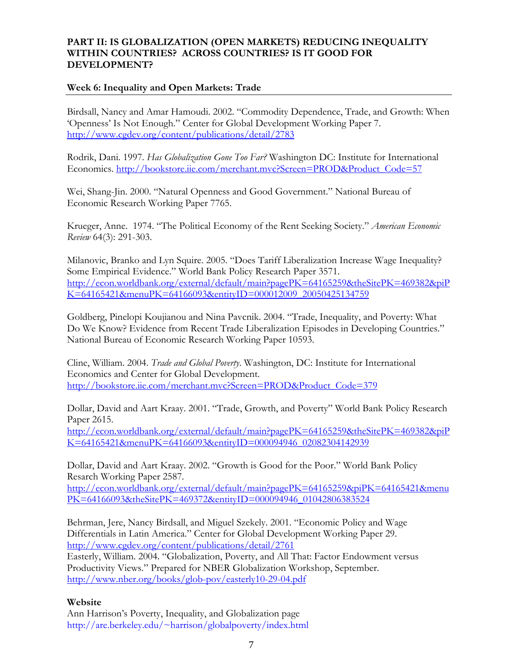## **PART II: IS GLOBALIZATION (OPEN MARKETS) REDUCING INEQUALITY WITHIN COUNTRIES? ACROSS COUNTRIES? IS IT GOOD FOR DEVELOPMENT?**

#### **Week 6: Inequality and Open Markets: Trade**

Birdsall, Nancy and Amar Hamoudi. 2002. "Commodity Dependence, Trade, and Growth: When 'Openness' Is Not Enough." Center for Global Development Working Paper 7. <http://www.cgdev.org/content/publications/detail/2783>

Rodrik, Dani. 1997. *Has Globalization Gone Too Far?* Washington DC: Institute for International Economics. [http://bookstore.iie.com/merchant.mvc?Screen=PROD&Product\\_Code=57](http://bookstore.iie.com/merchant.mvc?Screen=PROD&Product_Code=57)

Wei, Shang-Jin. 2000. "Natural Openness and Good Government." National Bureau of Economic Research Working Paper 7765.

Krueger, Anne. 1974. "The Political Economy of the Rent Seeking Society." *American Economic Review* 64(3): 291-303.

Milanovic, Branko and Lyn Squire. 2005. "Does Tariff Liberalization Increase Wage Inequality? Some Empirical Evidence." World Bank Policy Research Paper 3571. http://econ.worldbank.org/external/default/main?pagePK=64165259&theSitePK=469382&piP K=64165421&menuPK=64166093&entityID=000012009\_20050425134759

Goldberg, Pinelopi Koujianou and Nina Pavcnik. 2004. "Trade, Inequality, and Poverty: What Do We Know? Evidence from Recent Trade Liberalization Episodes in Developing Countries." National Bureau of Economic Research Working Paper 10593.

Cline, William. 2004. *Trade and Global Poverty*. Washington, DC: Institute for International Economics and Center for Global Development. http://bookstore.iie.com/merchant.mvc?Screen=PROD&Product\_Code=379

Dollar, David and Aart Kraay. 2001. "Trade, Growth, and Poverty" World Bank Policy Research Paper 2615.

http://econ.worldbank.org/external/default/main?pagePK=64165259&theSitePK=469382&piP K=64165421&menuPK=64166093&entityID=000094946\_02082304142939

Dollar, David and Aart Kraay. 2002. "Growth is Good for the Poor." World Bank Policy Resarch Working Paper 2587.

[http://econ.worldbank.org/external/default/main?pagePK=64165259&piPK=64165421&menu](http://econ.worldbank.org/external/default/main?pagePK=64165259&piPK=64165421&menuPK=64166093&theSitePK=469372&entityID=000094946_01042806383524) [PK=64166093&theSitePK=469372&entityID=000094946\\_01042806383524](http://econ.worldbank.org/external/default/main?pagePK=64165259&piPK=64165421&menuPK=64166093&theSitePK=469372&entityID=000094946_01042806383524)

Behrman, Jere, Nancy Birdsall, and Miguel Szekely. 2001. "Economic Policy and Wage Differentials in Latin America." Center for Global Development Working Paper 29. http://www.cgdev.org/content/publications/detail/2761

Easterly, William. 2004. "Globalization, Poverty, and All That: Factor Endowment versus Productivity Views." Prepared for NBER Globalization Workshop, September. <http://www.nber.org/books/glob-pov/easterly10-29-04.pdf>

#### **Website**

Ann Harrison's Poverty, Inequality, and Globalization page <http://are.berkeley.edu/~harrison/globalpoverty/index.html>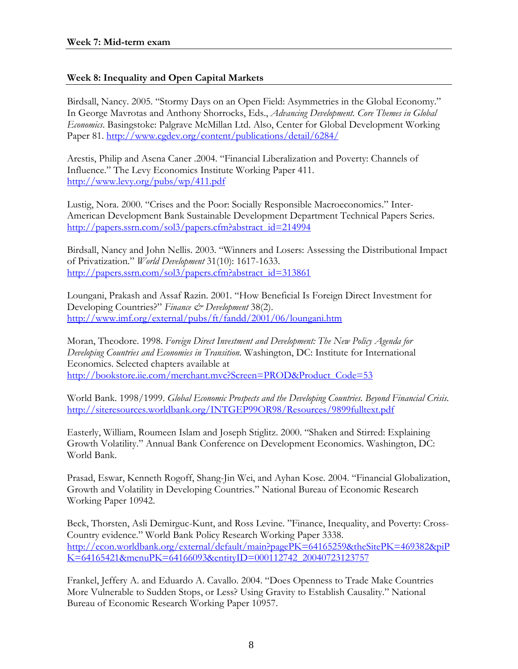## **Week 8: Inequality and Open Capital Markets**

Birdsall, Nancy. 2005. "Stormy Days on an Open Field: Asymmetries in the Global Economy." In George Mavrotas and Anthony Shorrocks, Eds., *Advancing Development. Core Themes in Global Economics*. Basingstoke: Palgrave McMillan Ltd. Also, Center for Global Development Working Paper 81. <http://www.cgdev.org/content/publications/detail/6284/>

Arestis, Philip and Asena Caner .2004. "Financial Liberalization and Poverty: Channels of Influence." The Levy Economics Institute Working Paper 411. <http://www.levy.org/pubs/wp/411.pdf>

Lustig, Nora. 2000. "Crises and the Poor: Socially Responsible Macroeconomics." Inter-American Development Bank Sustainable Development Department Technical Papers Series. [http://papers.ssrn.com/sol3/papers.cfm?abstract\\_id=214994](http://papers.ssrn.com/sol3/papers.cfm?abstract_id=214994)

Birdsall, Nancy and John Nellis. 2003. "Winners and Losers: Assessing the Distributional Impact of Privatization." *World Development* 31(10): 1617-1633. [http://papers.ssrn.com/sol3/papers.cfm?abstract\\_id=313861](http://papers.ssrn.com/sol3/papers.cfm?abstract_id=313861)

Loungani, Prakash and Assaf Razin. 2001. "How Beneficial Is Foreign Direct Investment for Developing Countries?" *Finance & Development* 38(2). <http://www.imf.org/external/pubs/ft/fandd/2001/06/loungani.htm>

Moran, Theodore. 1998. *Foreign Direct Investment and Development: The New Policy Agenda for Developing Countries and Economies in Transition.* Washington, DC: Institute for International Economics. Selected chapters available at http://bookstore.iie.com/merchant.mvc?Screen=PROD&Product\_Code=53

World Bank. 1998/1999. *Global Economic Prospects and the Developing Countries. Beyond Financial Crisis.*  http://siteresources.worldbank.org/INTGEP99OR98/Resources/9899fulltext.pdf

Easterly, William, Roumeen Islam and Joseph Stiglitz. 2000. "Shaken and Stirred: Explaining Growth Volatility." Annual Bank Conference on Development Economics. Washington, DC: World Bank.

Prasad, Eswar, Kenneth Rogoff, Shang-Jin Wei, and Ayhan Kose. 2004. "Financial Globalization, Growth and Volatility in Developing Countries." National Bureau of Economic Research Working Paper 10942.

Beck, Thorsten, Asli [Demirguc-Kunt,](http://econ.worldbank.org/external/default/main?authorMDK=94122&theSitePK=469382&menuPK=64214916&pagePK=64214821&piPK=64214942) and Ross Levine. "Finance, Inequality, and Poverty: Cross-Country evidence." World Bank Policy Research Working Paper 3338. [http://econ.worldbank.org/external/default/main?pagePK=64165259&theSitePK=469382&piP](http://econ.worldbank.org/external/default/main?pagePK=64165259&theSitePK=469382&piPK=64165421&menuPK=64166093&entityID=000112742_20040723123757) [K=64165421&menuPK=64166093&entityID=000112742\\_20040723123757](http://econ.worldbank.org/external/default/main?pagePK=64165259&theSitePK=469382&piPK=64165421&menuPK=64166093&entityID=000112742_20040723123757)

Frankel, Jeffery A. and Eduardo A. Cavallo. 2004. "Does Openness to Trade Make Countries More Vulnerable to Sudden Stops, or Less? Using Gravity to Establish Causality." National Bureau of Economic Research Working Paper 10957.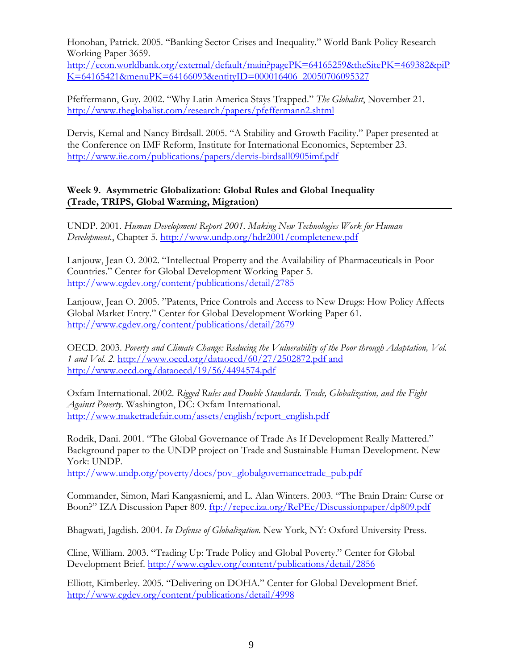Honohan, Patrick. 2005. "Banking Sector Crises and Inequality." World Bank Policy Research Working Paper 3659.

http://econ.worldbank.org/external/default/main?pagePK=64165259&theSitePK=469382&piP K=64165421&menuPK=64166093&entityID=000016406\_20050706095327

Pfeffermann, Guy. 2002. "Why Latin America Stays Trapped." *The Globalist*, November 21. <http://www.theglobalist.com/research/papers/pfeffermann2.shtml>

Dervis, Kemal and Nancy Birdsall. 2005. "A Stability and Growth Facility." Paper presented at the Conference on IMF Reform, Institute for International Economics, September 23. http://www.iie.com/publications/papers/dervis-birdsall0905imf.pdf

# **Week 9. Asymmetric Globalization: Global Rules and Global Inequality (Trade, TRIPS, Global Warming, Migration)**

UNDP. 2001. *Human Development Report 2001. Making New Technologies Work for Human Development.*, Chapter 5. <http://www.undp.org/hdr2001/completenew.pdf>

Lanjouw, Jean O. 2002. "Intellectual Property and the Availability of Pharmaceuticals in Poor Countries." Center for Global Development Working Paper 5. <http://www.cgdev.org/content/publications/detail/2785>

Lanjouw, Jean O. 2005. "Patents, Price Controls and Access to New Drugs: How Policy Affects Global Market Entry." Center for Global Development Working Paper 61. <http://www.cgdev.org/content/publications/detail/2679>

OECD. 2003. *Poverty and Climate Change: Reducing the Vulnerability of the Poor through Adaptation, Vol. 1 and Vol. 2.* <http://www.oecd.org/dataoecd/60/27/2502872.pdf>and <http://www.oecd.org/dataoecd/19/56/4494574.pdf>

Oxfam International. 2002. *Rigged Rules and Double Standards. Trade, Globalization, and the Fight Against Poverty*. Washington, DC: Oxfam International. [http://www.maketradefair.com/assets/english/report\\_english.pdf](http://www.maketradefair.com/assets/english/report_english.pdf)

Rodrik, Dani. 2001. "The Global Governance of Trade As If Development Really Mattered." Background paper to the UNDP project on Trade and Sustainable Human Development. New York: UNDP.

[http://www.undp.org/poverty/docs/pov\\_globalgovernancetrade\\_pub.pdf](http://www.undp.org/poverty/docs/pov_globalgovernancetrade_pub.pdf)

Commander, Simon, Mari Kangasniemi, and L. Alan Winters. 2003. "The Brain Drain: Curse or Boon?" IZA Discussion Paper 809.<ftp://repec.iza.org/RePEc/Discussionpaper/dp809.pdf>

Bhagwati, Jagdish. 2004. *In Defense of Globalization.* New York, NY: Oxford University Press.

Cline, William. 2003. "Trading Up: Trade Policy and Global Poverty." Center for Global Development Brief. <http://www.cgdev.org/content/publications/detail/2856>

Elliott, Kimberley. 2005. "Delivering on DOHA." Center for Global Development Brief. <http://www.cgdev.org/content/publications/detail/4998>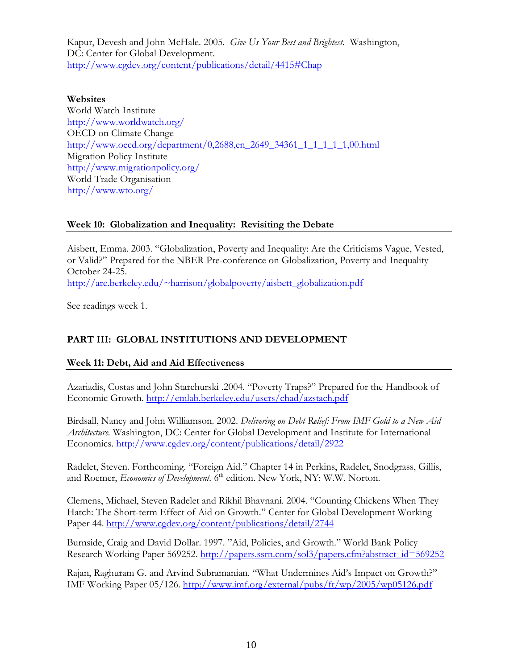Kapur, Devesh and John McHale. 2005. *Give Us Your Best and Brightest.* Washington, DC: Center for Global Development. http://www.cgdev.org/content/publications/detail/4415#Chap

#### **Websites**

World Watch Institute <http://www.worldwatch.org/> OECD on Climate Change http://www.oecd.org/department/0,2688,en\_2649\_34361\_1\_1\_1\_1\_1,00.html Migration Policy Institute <http://www.migrationpolicy.org/> World Trade Organisation http://www.wto.org/

### **Week 10: Globalization and Inequality: Revisiting the Debate**

Aisbett, Emma. 2003. "Globalization, Poverty and Inequality: Are the Criticisms Vague, Vested, or Valid?" Prepared for the NBER Pre-conference on Globalization, Poverty and Inequality October 24-25. [http://are.berkeley.edu/~harrison/globalpoverty/aisbett\\_globalization.pdf](http://are.berkeley.edu/~harrison/globalpoverty/aisbett_globalization.pdf)

See readings week 1.

# **PART III: GLOBAL INSTITUTIONS AND DEVELOPMENT**

### **Week 11: Debt, Aid and Aid Effectiveness**

Azariadis, Costas and John Starchurski .2004. "Poverty Traps?" Prepared for the Handbook of Economic Growth.<http://emlab.berkeley.edu/users/chad/azstach.pdf>

Birdsall, Nancy and John Williamson. 2002. *Delivering on Debt Relief: From IMF Gold to a New Aid Architecture.* Washington, DC: Center for Global Development and Institute for International Economics. http://www.cgdev.org/content/publications/detail/2922

Radelet, Steven. Forthcoming. "Foreign Aid." Chapter 14 in Perkins, Radelet, Snodgrass, Gillis, and Roemer, *Economics of Development*. 6<sup>th</sup> edition. New York, NY: W.W. Norton.

Clemens, Michael, Steven Radelet and Rikhil Bhavnani. 2004. "Counting Chickens When They Hatch: The Short-term Effect of Aid on Growth." Center for Global Development Working Paper 44. http://www.cgdev.org/content/publications/detail/2744

Burnside, Craig and David Dollar. 1997. "Aid, Policies, and Growth." World Bank Policy Research Working Paper 569252. http://papers.ssrn.com/sol3/papers.cfm?abstract\_id=569252

Rajan, Raghuram G. and Arvind Subramanian. "What Undermines Aid's Impact on Growth?" IMF Working Paper 05/126. http://www.imf.org/external/pubs/ft/wp/2005/wp05126.pdf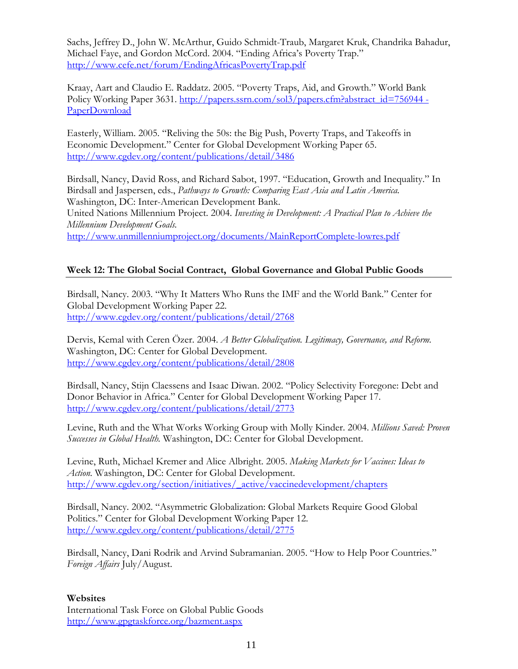Sachs, Jeffrey D., John W. McArthur, Guido Schmidt-Traub, Margaret Kruk, Chandrika Bahadur, Michael Faye, and Gordon McCord. 2004. "Ending Africa's Poverty Trap." <http://www.cefe.net/forum/EndingAfricasPovertyTrap.pdf>

Kraay, Aart and Claudio E. Raddatz. 2005. "Poverty Traps, Aid, and Growth." World Bank Policy Working Paper 3631. http://papers.ssrn.com/sol3/papers.cfm?abstract\_id=756944 -PaperDownload

Easterly, William. 2005. "Reliving the 50s: the Big Push, Poverty Traps, and Takeoffs in Economic Development." Center for Global Development Working Paper 65. http://www.cgdev.org/content/publications/detail/3486

Birdsall, Nancy, David Ross, and Richard Sabot, 1997. "Education, Growth and Inequality." In Birdsall and Jaspersen, eds., *Pathways to Growth: Comparing East Asia and Latin America.*  Washington, DC: Inter-American Development Bank. United Nations Millennium Project. 2004. *Investing in Development: A Practical Plan to Achieve the Millennium Development Goals.* 

<http://www.unmillenniumproject.org/documents/MainReportComplete-lowres.pdf>

# **Week 12: The Global Social Contract, Global Governance and Global Public Goods**

Birdsall, Nancy. 2003. "Why It Matters Who Runs the IMF and the World Bank." Center for Global Development Working Paper 22. http://www.cgdev.org/content/publications/detail/2768

Dervis, Kemal with Ceren Özer. 2004. *A Better Globalization. Legitimacy, Governance, and Reform.*  Washington, DC: Center for Global Development. http://www.cgdev.org/content/publications/detail/2808

Birdsall, Nancy, Stijn Claessens and Isaac Diwan. 2002. "Policy Selectivity Foregone: Debt and Donor Behavior in Africa." Center for Global Development Working Paper 17. http://www.cgdev.org/content/publications/detail/2773

Levine, Ruth and the What Works Working Group with Molly Kinder. 2004. *Millions Saved: Proven Successes in Global Health.* Washington, DC: Center for Global Development.

Levine, Ruth, Michael Kremer and Alice Albright. 2005. *Making Markets for Vaccines: Ideas to Action.* Washington, DC: Center for Global Development. http://www.cgdev.org/section/initiatives/\_active/vaccinedevelopment/chapters

Birdsall, Nancy. 2002. "Asymmetric Globalization: Global Markets Require Good Global Politics." Center for Global Development Working Paper 12. http://www.cgdev.org/content/publications/detail/2775

Birdsall, Nancy, Dani Rodrik and Arvind Subramanian. 2005. "How to Help Poor Countries." *Foreign Affairs* July/August.

### **Websites**

International Task Force on Global Public Goods <http://www.gpgtaskforce.org/bazment.aspx>